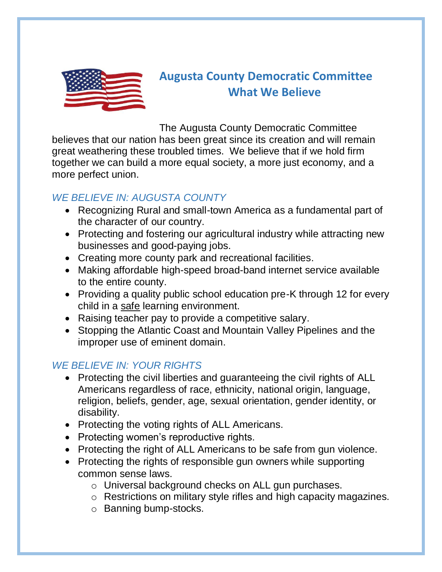

# **Augusta County Democratic Committee What We Believe**

The Augusta County Democratic Committee believes that our nation has been great since its creation and will remain great weathering these troubled times. We believe that if we hold firm together we can build a more equal society, a more just economy, and a more perfect union.

# *WE BELIEVE IN: AUGUSTA COUNTY*

- Recognizing Rural and small-town America as a fundamental part of the character of our country.
- Protecting and fostering our agricultural industry while attracting new businesses and good-paying jobs.
- Creating more county park and recreational facilities.
- Making affordable high-speed broad-band internet service available to the entire county.
- Providing a quality public school education pre-K through 12 for every child in a safe learning environment.
- Raising teacher pay to provide a competitive salary.
- Stopping the Atlantic Coast and Mountain Valley Pipelines and the improper use of eminent domain.

# *WE BELIEVE IN: YOUR RIGHTS*

- Protecting the civil liberties and guaranteeing the civil rights of ALL Americans regardless of race, ethnicity, national origin, language, religion, beliefs, gender, age, sexual orientation, gender identity, or disability.
- Protecting the voting rights of ALL Americans.
- Protecting women's reproductive rights.
- Protecting the right of ALL Americans to be safe from gun violence.
- Protecting the rights of responsible gun owners while supporting common sense laws.
	- o Universal background checks on ALL gun purchases.
	- o Restrictions on military style rifles and high capacity magazines.
	- o Banning bump-stocks.